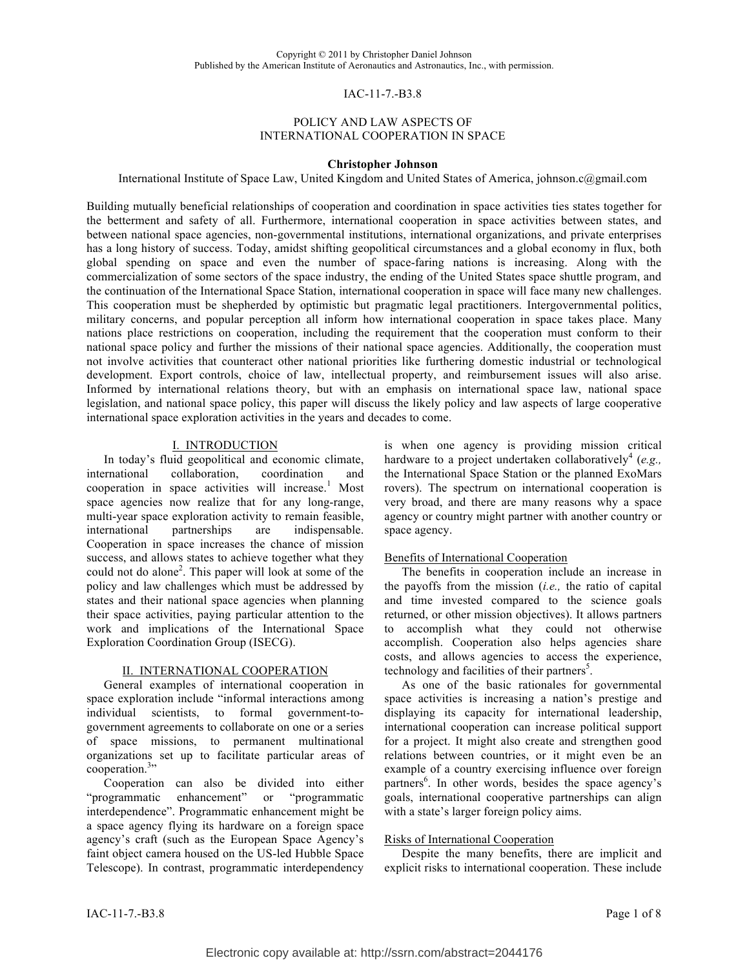#### IAC-11-7.-B3.8

### POLICY AND LAW ASPECTS OF INTERNATIONAL COOPERATION IN SPACE

#### **Christopher Johnson**

International Institute of Space Law, United Kingdom and United States of America, johnson.c@gmail.com

Building mutually beneficial relationships of cooperation and coordination in space activities ties states together for the betterment and safety of all. Furthermore, international cooperation in space activities between states, and between national space agencies, non-governmental institutions, international organizations, and private enterprises has a long history of success. Today, amidst shifting geopolitical circumstances and a global economy in flux, both global spending on space and even the number of space-faring nations is increasing. Along with the commercialization of some sectors of the space industry, the ending of the United States space shuttle program, and the continuation of the International Space Station, international cooperation in space will face many new challenges. This cooperation must be shepherded by optimistic but pragmatic legal practitioners. Intergovernmental politics, military concerns, and popular perception all inform how international cooperation in space takes place. Many nations place restrictions on cooperation, including the requirement that the cooperation must conform to their national space policy and further the missions of their national space agencies. Additionally, the cooperation must not involve activities that counteract other national priorities like furthering domestic industrial or technological development. Export controls, choice of law, intellectual property, and reimbursement issues will also arise. Informed by international relations theory, but with an emphasis on international space law, national space legislation, and national space policy, this paper will discuss the likely policy and law aspects of large cooperative international space exploration activities in the years and decades to come.

#### I. INTRODUCTION

In today's fluid geopolitical and economic climate, international collaboration, coordination and cooperation in space activities will increase.<sup>1</sup> Most space agencies now realize that for any long-range, multi-year space exploration activity to remain feasible, international partnerships are indispensable. Cooperation in space increases the chance of mission success, and allows states to achieve together what they could not do alone<sup>2</sup>. This paper will look at some of the policy and law challenges which must be addressed by states and their national space agencies when planning their space activities, paying particular attention to the work and implications of the International Space Exploration Coordination Group (ISECG).

#### II. INTERNATIONAL COOPERATION

General examples of international cooperation in space exploration include "informal interactions among individual scientists, to formal government-togovernment agreements to collaborate on one or a series of space missions, to permanent multinational organizations set up to facilitate particular areas of cooperation.<sup>3</sup>"

Cooperation can also be divided into either "programmatic enhancement" or "programmatic interdependence". Programmatic enhancement might be a space agency flying its hardware on a foreign space agency's craft (such as the European Space Agency's faint object camera housed on the US-led Hubble Space Telescope). In contrast, programmatic interdependency is when one agency is providing mission critical hardware to a project undertaken collaboratively<sup>4</sup> (e.g., the International Space Station or the planned ExoMars rovers). The spectrum on international cooperation is very broad, and there are many reasons why a space agency or country might partner with another country or space agency.

#### Benefits of International Cooperation

The benefits in cooperation include an increase in the payoffs from the mission (*i.e.,* the ratio of capital and time invested compared to the science goals returned, or other mission objectives). It allows partners to accomplish what they could not otherwise accomplish. Cooperation also helps agencies share costs, and allows agencies to access the experience, technology and facilities of their partners<sup>5</sup>.

As one of the basic rationales for governmental space activities is increasing a nation's prestige and displaying its capacity for international leadership, international cooperation can increase political support for a project. It might also create and strengthen good relations between countries, or it might even be an example of a country exercising influence over foreign partners<sup>6</sup>. In other words, besides the space agency's goals, international cooperative partnerships can align with a state's larger foreign policy aims.

#### Risks of International Cooperation

Despite the many benefits, there are implicit and explicit risks to international cooperation. These include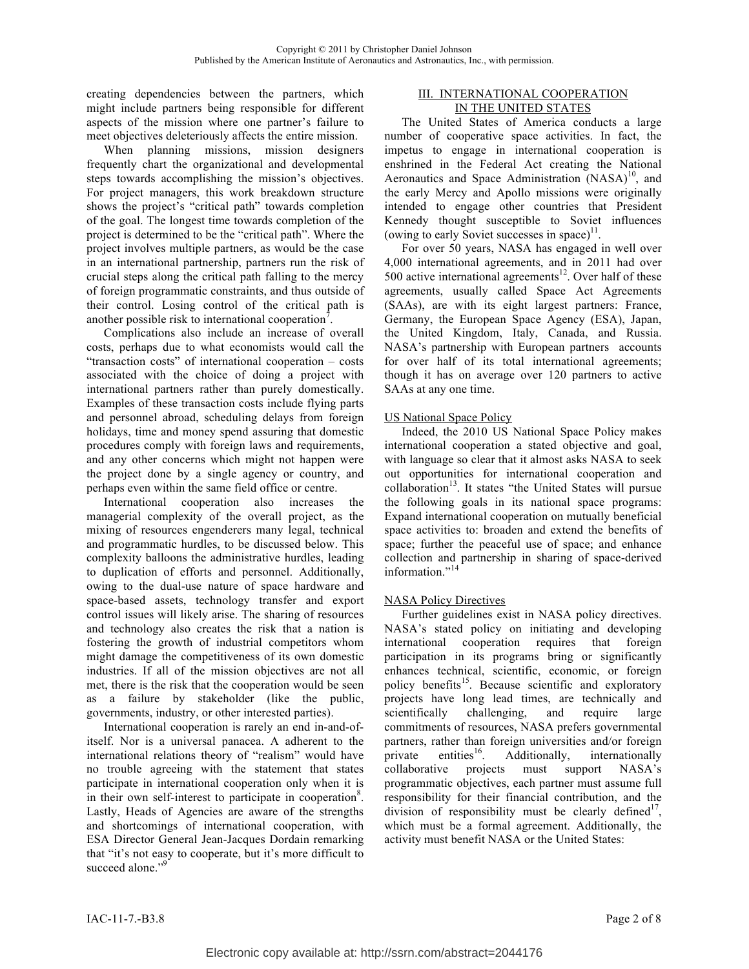creating dependencies between the partners, which might include partners being responsible for different aspects of the mission where one partner's failure to meet objectives deleteriously affects the entire mission.

When planning missions, mission designers frequently chart the organizational and developmental steps towards accomplishing the mission's objectives. For project managers, this work breakdown structure shows the project's "critical path" towards completion of the goal. The longest time towards completion of the project is determined to be the "critical path". Where the project involves multiple partners, as would be the case in an international partnership, partners run the risk of crucial steps along the critical path falling to the mercy of foreign programmatic constraints, and thus outside of their control. Losing control of the critical path is another possible risk to international cooperation<sup>7</sup>.

Complications also include an increase of overall costs, perhaps due to what economists would call the "transaction costs" of international cooperation – costs associated with the choice of doing a project with international partners rather than purely domestically. Examples of these transaction costs include flying parts and personnel abroad, scheduling delays from foreign holidays, time and money spend assuring that domestic procedures comply with foreign laws and requirements, and any other concerns which might not happen were the project done by a single agency or country, and perhaps even within the same field office or centre.

International cooperation also increases the managerial complexity of the overall project, as the mixing of resources engenderers many legal, technical and programmatic hurdles, to be discussed below. This complexity balloons the administrative hurdles, leading to duplication of efforts and personnel. Additionally, owing to the dual-use nature of space hardware and space-based assets, technology transfer and export control issues will likely arise. The sharing of resources and technology also creates the risk that a nation is fostering the growth of industrial competitors whom might damage the competitiveness of its own domestic industries. If all of the mission objectives are not all met, there is the risk that the cooperation would be seen as a failure by stakeholder (like the public, governments, industry, or other interested parties).

International cooperation is rarely an end in-and-ofitself. Nor is a universal panacea. A adherent to the international relations theory of "realism" would have no trouble agreeing with the statement that states participate in international cooperation only when it is in their own self-interest to participate in cooperation<sup>8</sup>. Lastly, Heads of Agencies are aware of the strengths and shortcomings of international cooperation, with ESA Director General Jean-Jacques Dordain remarking that "it's not easy to cooperate, but it's more difficult to succeed alone."<sup>9</sup>

### III. INTERNATIONAL COOPERATION IN THE UNITED STATES

The United States of America conducts a large number of cooperative space activities. In fact, the impetus to engage in international cooperation is enshrined in the Federal Act creating the National Aeronautics and Space Administration  $(NASA)^{10}$ , and the early Mercy and Apollo missions were originally intended to engage other countries that President Kennedy thought susceptible to Soviet influences (owing to early Soviet successes in space) $\mathbf{1}^{\prime}$ .

For over 50 years, NASA has engaged in well over 4,000 international agreements, and in 2011 had over 500 active international agreements<sup>12</sup>. Over half of these agreements, usually called Space Act Agreements (SAAs), are with its eight largest partners: France, Germany, the European Space Agency (ESA), Japan, the United Kingdom, Italy, Canada, and Russia. NASA's partnership with European partners accounts for over half of its total international agreements; though it has on average over 120 partners to active SAAs at any one time.

# US National Space Policy

Indeed, the 2010 US National Space Policy makes international cooperation a stated objective and goal, with language so clear that it almost asks NASA to seek out opportunities for international cooperation and collaboration<sup>13</sup>. It states "the United States will pursue the following goals in its national space programs: Expand international cooperation on mutually beneficial space activities to: broaden and extend the benefits of space; further the peaceful use of space; and enhance collection and partnership in sharing of space-derived information."<sup>14</sup>

# NASA Policy Directives

Further guidelines exist in NASA policy directives. NASA's stated policy on initiating and developing international cooperation requires that foreign participation in its programs bring or significantly enhances technical, scientific, economic, or foreign policy benefits<sup>15</sup>. Because scientific and exploratory projects have long lead times, are technically and scientifically challenging, and require large commitments of resources, NASA prefers governmental partners, rather than foreign universities and/or foreign<br>private entities<sup>16</sup>. Additionally, internationally private entities<sup>16</sup>. Additionally, internationally collaborative projects must support NASA's programmatic objectives, each partner must assume full responsibility for their financial contribution, and the division of responsibility must be clearly defined<sup> $1$ </sup>, which must be a formal agreement. Additionally, the activity must benefit NASA or the United States: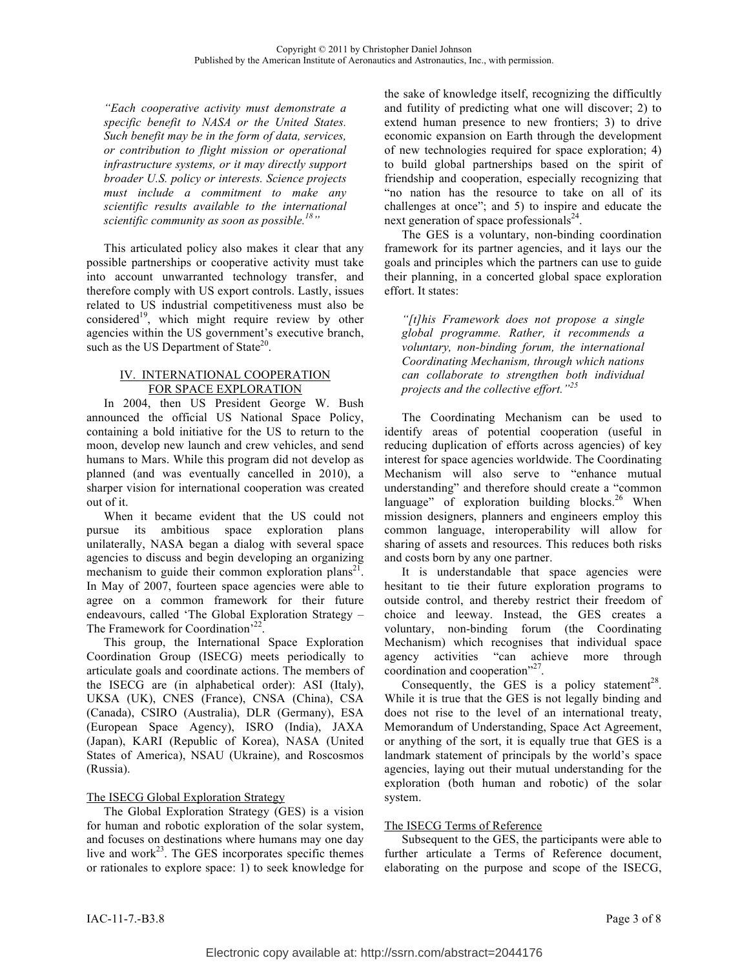*"Each cooperative activity must demonstrate a specific benefit to NASA or the United States. Such benefit may be in the form of data, services, or contribution to flight mission or operational infrastructure systems, or it may directly support broader U.S. policy or interests. Science projects must include a commitment to make any scientific results available to the international scientific community as soon as possible.18"*

This articulated policy also makes it clear that any possible partnerships or cooperative activity must take into account unwarranted technology transfer, and therefore comply with US export controls. Lastly, issues related to US industrial competitiveness must also be considered<sup>19</sup>, which might require review by other agencies within the US government's executive branch, such as the US Department of State $^{20}$ .

### IV. INTERNATIONAL COOPERATION FOR SPACE EXPLORATION

In 2004, then US President George W. Bush announced the official US National Space Policy, containing a bold initiative for the US to return to the moon, develop new launch and crew vehicles, and send humans to Mars. While this program did not develop as planned (and was eventually cancelled in 2010), a sharper vision for international cooperation was created out of it.

When it became evident that the US could not pursue its ambitious space exploration plans unilaterally, NASA began a dialog with several space agencies to discuss and begin developing an organizing mechanism to guide their common exploration plans<sup>21</sup>. In May of 2007, fourteen space agencies were able to agree on a common framework for their future endeavours, called 'The Global Exploration Strategy – The Framework for Coordination<sup>22</sup>

This group, the International Space Exploration Coordination Group (ISECG) meets periodically to articulate goals and coordinate actions. The members of the ISECG are (in alphabetical order): ASI (Italy), UKSA (UK), CNES (France), CNSA (China), CSA (Canada), CSIRO (Australia), DLR (Germany), ESA (European Space Agency), ISRO (India), JAXA (Japan), KARI (Republic of Korea), NASA (United States of America), NSAU (Ukraine), and Roscosmos (Russia).

# The ISECG Global Exploration Strategy

The Global Exploration Strategy (GES) is a vision for human and robotic exploration of the solar system, and focuses on destinations where humans may one day live and work $^{23}$ . The GES incorporates specific themes or rationales to explore space: 1) to seek knowledge for

the sake of knowledge itself, recognizing the difficultly and futility of predicting what one will discover; 2) to extend human presence to new frontiers; 3) to drive economic expansion on Earth through the development of new technologies required for space exploration; 4) to build global partnerships based on the spirit of friendship and cooperation, especially recognizing that "no nation has the resource to take on all of its challenges at once"; and 5) to inspire and educate the next generation of space professionals $^{24}$ .

The GES is a voluntary, non-binding coordination framework for its partner agencies, and it lays our the goals and principles which the partners can use to guide their planning, in a concerted global space exploration effort. It states:

*"[t]his Framework does not propose a single global programme. Rather, it recommends a voluntary, non-binding forum, the international Coordinating Mechanism, through which nations can collaborate to strengthen both individual projects and the collective effort."<sup>25</sup>*

The Coordinating Mechanism can be used to identify areas of potential cooperation (useful in reducing duplication of efforts across agencies) of key interest for space agencies worldwide. The Coordinating Mechanism will also serve to "enhance mutual understanding" and therefore should create a "common language" of exploration building blocks.<sup>26</sup> When mission designers, planners and engineers employ this common language, interoperability will allow for sharing of assets and resources. This reduces both risks and costs born by any one partner.

It is understandable that space agencies were hesitant to tie their future exploration programs to outside control, and thereby restrict their freedom of choice and leeway. Instead, the GES creates a voluntary, non-binding forum (the Coordinating Mechanism) which recognises that individual space agency activities "can achieve more through coordination and cooperation<sup>"27</sup>.

Consequently, the GES is a policy statement<sup>28</sup>. While it is true that the GES is not legally binding and does not rise to the level of an international treaty, Memorandum of Understanding, Space Act Agreement, or anything of the sort, it is equally true that GES is a landmark statement of principals by the world's space agencies, laying out their mutual understanding for the exploration (both human and robotic) of the solar system.

### The ISECG Terms of Reference

Subsequent to the GES, the participants were able to further articulate a Terms of Reference document, elaborating on the purpose and scope of the ISECG,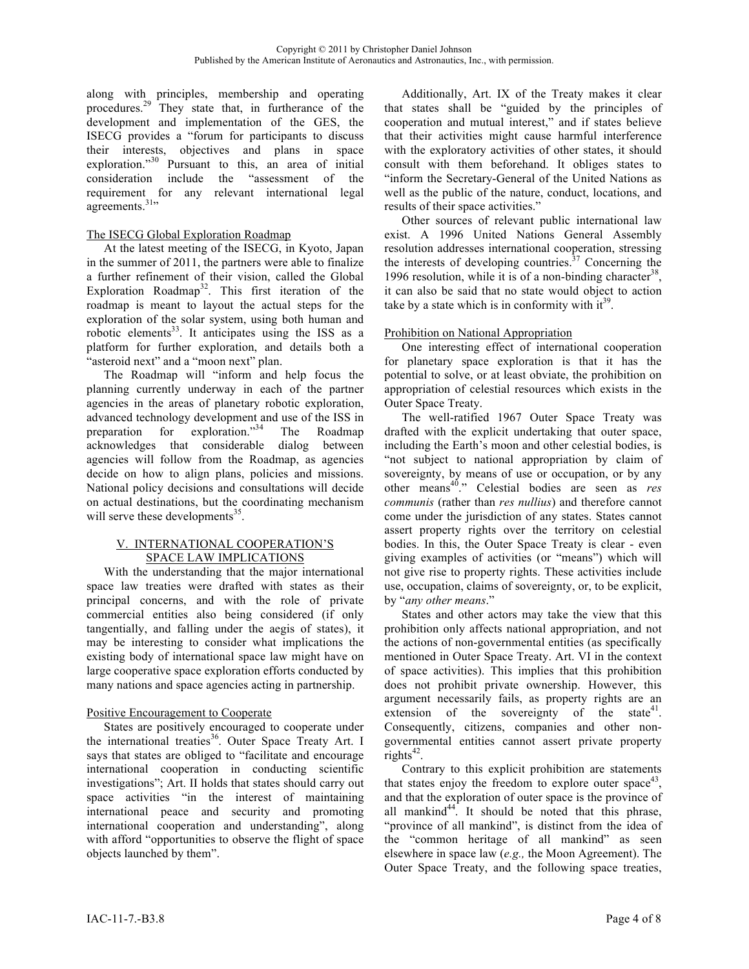along with principles, membership and operating procedures.29 They state that, in furtherance of the development and implementation of the GES, the ISECG provides a "forum for participants to discuss their interests, objectives and plans in space exploration."<sup>30</sup> Pursuant to this, an area of initial consideration include the "assessment of the requirement for any relevant international legal agreements.<sup>31</sup>"

## The ISECG Global Exploration Roadmap

At the latest meeting of the ISECG, in Kyoto, Japan in the summer of 2011, the partners were able to finalize a further refinement of their vision, called the Global Exploration Roadmap<sup>32</sup>. This first iteration of the roadmap is meant to layout the actual steps for the exploration of the solar system, using both human and robotic elements<sup>33</sup>. It anticipates using the ISS as a platform for further exploration, and details both a "asteroid next" and a "moon next" plan.

The Roadmap will "inform and help focus the planning currently underway in each of the partner agencies in the areas of planetary robotic exploration, advanced technology development and use of the ISS in preparation for exploration."34 The Roadmap acknowledges that considerable dialog between agencies will follow from the Roadmap, as agencies decide on how to align plans, policies and missions. National policy decisions and consultations will decide on actual destinations, but the coordinating mechanism will serve these developments<sup>35</sup>.

#### V. INTERNATIONAL COOPERATION'S SPACE LAW IMPLICATIONS

With the understanding that the major international space law treaties were drafted with states as their principal concerns, and with the role of private commercial entities also being considered (if only tangentially, and falling under the aegis of states), it may be interesting to consider what implications the existing body of international space law might have on large cooperative space exploration efforts conducted by many nations and space agencies acting in partnership.

# Positive Encouragement to Cooperate

States are positively encouraged to cooperate under the international treaties<sup>36</sup>. Outer Space Treaty Art. I says that states are obliged to "facilitate and encourage international cooperation in conducting scientific investigations"; Art. II holds that states should carry out space activities "in the interest of maintaining international peace and security and promoting international cooperation and understanding", along with afford "opportunities to observe the flight of space objects launched by them".

Additionally, Art. IX of the Treaty makes it clear that states shall be "guided by the principles of cooperation and mutual interest," and if states believe that their activities might cause harmful interference with the exploratory activities of other states, it should consult with them beforehand. It obliges states to "inform the Secretary-General of the United Nations as well as the public of the nature, conduct, locations, and results of their space activities."

Other sources of relevant public international law exist. A 1996 United Nations General Assembly resolution addresses international cooperation, stressing the interests of developing countries. $37$  Concerning the 1996 resolution, while it is of a non-binding character<sup>38</sup>, it can also be said that no state would object to action take by a state which is in conformity with  $it^{39}$ .

### Prohibition on National Appropriation

One interesting effect of international cooperation for planetary space exploration is that it has the potential to solve, or at least obviate, the prohibition on appropriation of celestial resources which exists in the Outer Space Treaty.

The well-ratified 1967 Outer Space Treaty was drafted with the explicit undertaking that outer space, including the Earth's moon and other celestial bodies, is "not subject to national appropriation by claim of sovereignty, by means of use or occupation, or by any other means40." Celestial bodies are seen as *res communis* (rather than *res nullius*) and therefore cannot come under the jurisdiction of any states. States cannot assert property rights over the territory on celestial bodies. In this, the Outer Space Treaty is clear - even giving examples of activities (or "means") which will not give rise to property rights. These activities include use, occupation, claims of sovereignty, or, to be explicit, by "*any other means*."

States and other actors may take the view that this prohibition only affects national appropriation, and not the actions of non-governmental entities (as specifically mentioned in Outer Space Treaty. Art. VI in the context of space activities). This implies that this prohibition does not prohibit private ownership. However, this argument necessarily fails, as property rights are an extension of the sovereignty of the state $41$ . Consequently, citizens, companies and other nongovernmental entities cannot assert private property  $rights<sup>42</sup>$ .

Contrary to this explicit prohibition are statements that states enjoy the freedom to explore outer space<sup>43</sup>. and that the exploration of outer space is the province of all mankind<sup>44</sup>. It should be noted that this phrase, "province of all mankind", is distinct from the idea of the "common heritage of all mankind" as seen elsewhere in space law (*e.g.,* the Moon Agreement). The Outer Space Treaty, and the following space treaties,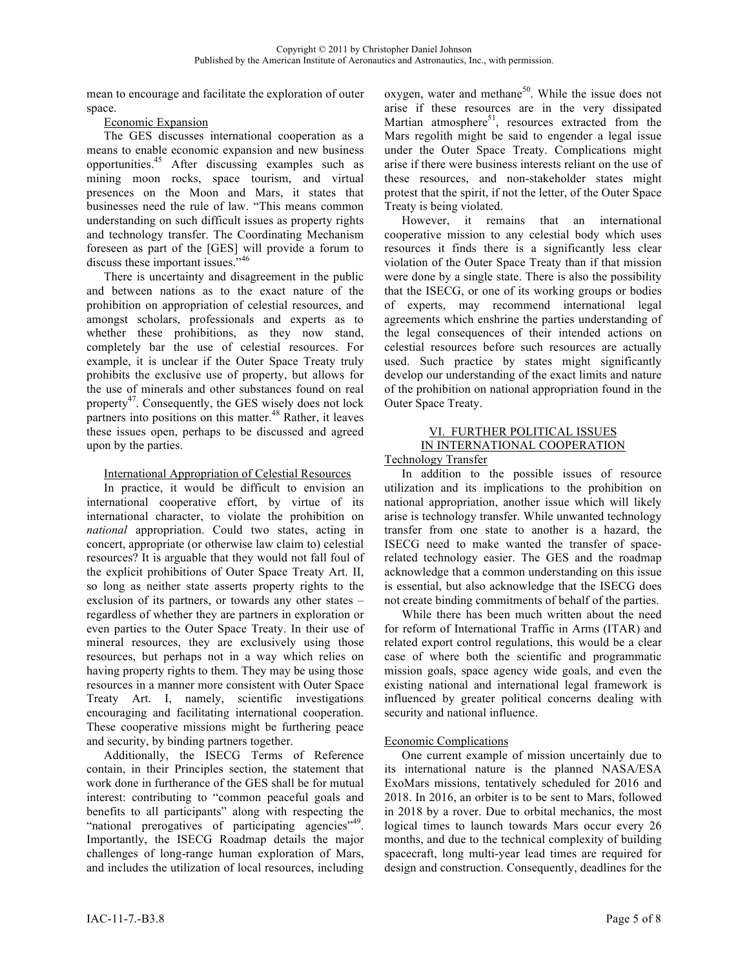mean to encourage and facilitate the exploration of outer space.

### Economic Expansion

The GES discusses international cooperation as a means to enable economic expansion and new business opportunities.45 After discussing examples such as mining moon rocks, space tourism, and virtual presences on the Moon and Mars, it states that businesses need the rule of law. "This means common understanding on such difficult issues as property rights and technology transfer. The Coordinating Mechanism foreseen as part of the [GES] will provide a forum to discuss these important issues."<sup>46</sup>

There is uncertainty and disagreement in the public and between nations as to the exact nature of the prohibition on appropriation of celestial resources, and amongst scholars, professionals and experts as to whether these prohibitions, as they now stand, completely bar the use of celestial resources. For example, it is unclear if the Outer Space Treaty truly prohibits the exclusive use of property, but allows for the use of minerals and other substances found on real property47. Consequently, the GES wisely does not lock partners into positions on this matter.<sup>48</sup> Rather, it leaves these issues open, perhaps to be discussed and agreed upon by the parties.

# International Appropriation of Celestial Resources

In practice, it would be difficult to envision an international cooperative effort, by virtue of its international character, to violate the prohibition on *national* appropriation. Could two states, acting in concert, appropriate (or otherwise law claim to) celestial resources? It is arguable that they would not fall foul of the explicit prohibitions of Outer Space Treaty Art. II, so long as neither state asserts property rights to the exclusion of its partners, or towards any other states – regardless of whether they are partners in exploration or even parties to the Outer Space Treaty. In their use of mineral resources, they are exclusively using those resources, but perhaps not in a way which relies on having property rights to them. They may be using those resources in a manner more consistent with Outer Space Treaty Art. I, namely, scientific investigations encouraging and facilitating international cooperation. These cooperative missions might be furthering peace and security, by binding partners together.

Additionally, the ISECG Terms of Reference contain, in their Principles section, the statement that work done in furtherance of the GES shall be for mutual interest: contributing to "common peaceful goals and benefits to all participants" along with respecting the "national prerogatives of participating agencies"<sup>49</sup>. Importantly, the ISECG Roadmap details the major challenges of long-range human exploration of Mars, and includes the utilization of local resources, including

oxygen, water and methane<sup>50</sup>. While the issue does not arise if these resources are in the very dissipated Martian atmosphere $51$ , resources extracted from the Mars regolith might be said to engender a legal issue under the Outer Space Treaty. Complications might arise if there were business interests reliant on the use of these resources, and non-stakeholder states might protest that the spirit, if not the letter, of the Outer Space Treaty is being violated.

However, it remains that an international cooperative mission to any celestial body which uses resources it finds there is a significantly less clear violation of the Outer Space Treaty than if that mission were done by a single state. There is also the possibility that the ISECG, or one of its working groups or bodies of experts, may recommend international legal agreements which enshrine the parties understanding of the legal consequences of their intended actions on celestial resources before such resources are actually used. Such practice by states might significantly develop our understanding of the exact limits and nature of the prohibition on national appropriation found in the Outer Space Treaty.

#### VI. FURTHER POLITICAL ISSUES IN INTERNATIONAL COOPERATION Technology Transfer

In addition to the possible issues of resource utilization and its implications to the prohibition on national appropriation, another issue which will likely arise is technology transfer. While unwanted technology transfer from one state to another is a hazard, the ISECG need to make wanted the transfer of spacerelated technology easier. The GES and the roadmap acknowledge that a common understanding on this issue is essential, but also acknowledge that the ISECG does not create binding commitments of behalf of the parties.

While there has been much written about the need for reform of International Traffic in Arms (ITAR) and related export control regulations, this would be a clear case of where both the scientific and programmatic mission goals, space agency wide goals, and even the existing national and international legal framework is influenced by greater political concerns dealing with security and national influence.

# Economic Complications

One current example of mission uncertainly due to its international nature is the planned NASA/ESA ExoMars missions, tentatively scheduled for 2016 and 2018. In 2016, an orbiter is to be sent to Mars, followed in 2018 by a rover. Due to orbital mechanics, the most logical times to launch towards Mars occur every 26 months, and due to the technical complexity of building spacecraft, long multi-year lead times are required for design and construction. Consequently, deadlines for the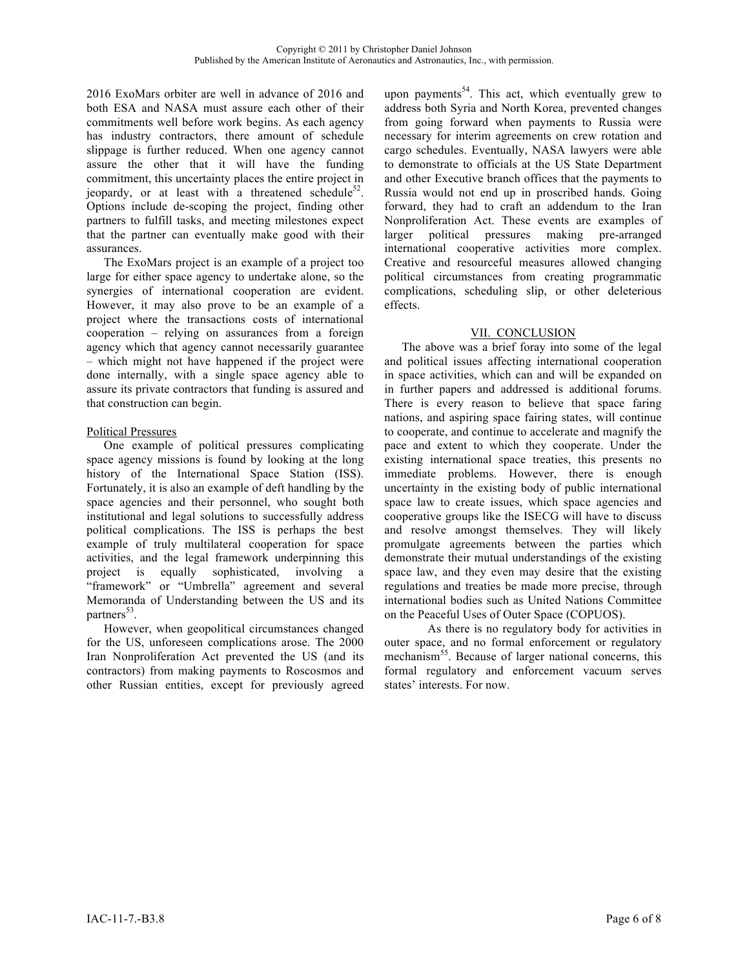2016 ExoMars orbiter are well in advance of 2016 and both ESA and NASA must assure each other of their commitments well before work begins. As each agency has industry contractors, there amount of schedule slippage is further reduced. When one agency cannot assure the other that it will have the funding commitment, this uncertainty places the entire project in jeopardy, or at least with a threatened schedule<sup>52</sup>. Options include de-scoping the project, finding other partners to fulfill tasks, and meeting milestones expect that the partner can eventually make good with their assurances.

The ExoMars project is an example of a project too large for either space agency to undertake alone, so the synergies of international cooperation are evident. However, it may also prove to be an example of a project where the transactions costs of international cooperation – relying on assurances from a foreign agency which that agency cannot necessarily guarantee – which might not have happened if the project were done internally, with a single space agency able to assure its private contractors that funding is assured and that construction can begin.

### Political Pressures

One example of political pressures complicating space agency missions is found by looking at the long history of the International Space Station (ISS). Fortunately, it is also an example of deft handling by the space agencies and their personnel, who sought both institutional and legal solutions to successfully address political complications. The ISS is perhaps the best example of truly multilateral cooperation for space activities, and the legal framework underpinning this project is equally sophisticated, involving a "framework" or "Umbrella" agreement and several Memoranda of Understanding between the US and its partners $^{53}$ .

However, when geopolitical circumstances changed for the US, unforeseen complications arose. The 2000 Iran Nonproliferation Act prevented the US (and its contractors) from making payments to Roscosmos and other Russian entities, except for previously agreed

upon payments $54$ . This act, which eventually grew to address both Syria and North Korea, prevented changes from going forward when payments to Russia were necessary for interim agreements on crew rotation and cargo schedules. Eventually, NASA lawyers were able to demonstrate to officials at the US State Department and other Executive branch offices that the payments to Russia would not end up in proscribed hands. Going forward, they had to craft an addendum to the Iran Nonproliferation Act. These events are examples of larger political pressures making pre-arranged international cooperative activities more complex. Creative and resourceful measures allowed changing political circumstances from creating programmatic complications, scheduling slip, or other deleterious effects.

# VII. CONCLUSION

The above was a brief foray into some of the legal and political issues affecting international cooperation in space activities, which can and will be expanded on in further papers and addressed is additional forums. There is every reason to believe that space faring nations, and aspiring space fairing states, will continue to cooperate, and continue to accelerate and magnify the pace and extent to which they cooperate. Under the existing international space treaties, this presents no immediate problems. However, there is enough uncertainty in the existing body of public international space law to create issues, which space agencies and cooperative groups like the ISECG will have to discuss and resolve amongst themselves. They will likely promulgate agreements between the parties which demonstrate their mutual understandings of the existing space law, and they even may desire that the existing regulations and treaties be made more precise, through international bodies such as United Nations Committee on the Peaceful Uses of Outer Space (COPUOS).

As there is no regulatory body for activities in outer space, and no formal enforcement or regulatory mechanism<sup>55</sup>. Because of larger national concerns, this formal regulatory and enforcement vacuum serves states' interests. For now.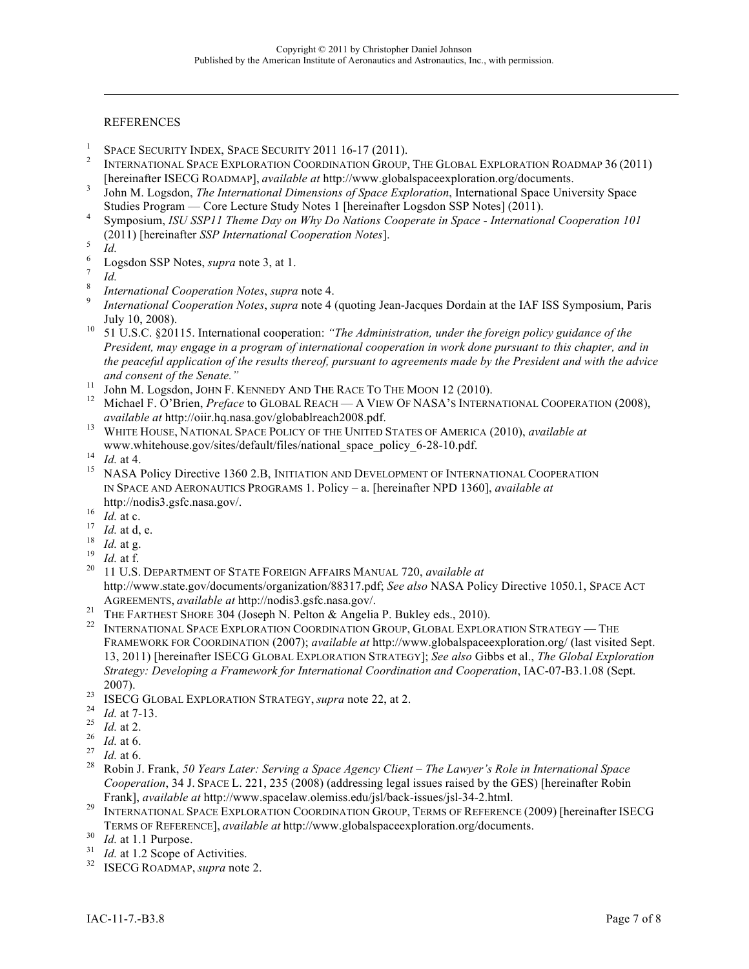## **REFERENCES**

- 
- <sup>1</sup> SPACE SECURITY INDEX, SPACE SECURITY 2011 16-17 (2011).<br><sup>2</sup> INTERNATIONAL SPACE EXPLORATION COORDINATION GROUP, THE GLOBAL EXPLORATION ROADMAP 36 (2011)
- [hereinafter ISECG ROADMAP], *available at* http://www.globalspaceexploration.org/documents. <sup>3</sup> John M. Logsdon, *The International Dimensions of Space Exploration*, International Space University Space
- Studies Program Core Lecture Study Notes 1 [hereinafter Logsdon SSP Notes] (2011).<br>Symposium, *ISU SSP11 Theme Day on Why Do Nations Cooperate in Space International Cooperation 101* (2011) [hereinafter *SSP International Cooperation Notes*].<br>
<sup>5</sup> *Id.*<br>
<sup>6</sup> Logsdon SSP Notes, *supra* note 3, at 1.<br>
<sup>7</sup> *Id.*<br> *8 International Cooperation Notes, <i>supra* note 4.<br> *8 International Cooperation Notes,*

l

- 
- 
- 
- 
- July 10, 2008). 10 51 U.S.C. §20115. International cooperation: *"The Administration, under the foreign policy guidance of the President, may engage in a program of international cooperation in work done pursuant to this chapter, and in the peaceful application of the results thereof, pursuant to agreements made by the President and with the advice*
- 
- *and consent of the Senate."* <sup>11</sup> John M. Logsdon, JOHN F. KENNEDY AND THE RACE TO THE MOON 12 (2010). <sup>12</sup> Michael F. O'Brien, *Preface* to GLOBAL REACH <sup>A</sup> VIEW OF NASA'S INTERNATIONAL COOPERATION (2008),
- *available at* http://oiir.hq.nasa.gov/globablreach2008.pdf. <sup>13</sup> WHITE HOUSE, NATIONAL SPACE POLICY OF THE UNITED STATES OF AMERICA (2010), *available at*
- 
- www.whitehouse.gov/sites/default/files/national\_space\_policy\_6-28-10.pdf.<br>
<sup>14</sup> *Id.* at 4. NASA Policy Directive 1360 2.B, INITIATION AND DEVELOPMENT OF INTERNATIONAL COOPERATION IN SPACE AND AERONAUTICS PROGRAMS 1. Policy – a. [hereinafter NPD 1360], *available at*
- 
- 
- 
- 
- http://nodis3.gsfc.nasa.gov/.<br>
<sup>16</sup> *Id.* at c.<br>
<sup>17</sup> *Id.* at d, e.<br>
<sup>18</sup> *Id.* at f.<br>
<sup>19</sup> *Id.* at f.<br>
<sup>20</sup> 11 U.S. DEPARTMENT OF STATE FOREIGN AFFAIRS MANUAL 720, *available at* http://www.state.gov/documents/organization/88317.pdf; *See also* NASA Policy Directive 1050.1, SPACE ACT AGREEMENTS, available at http://nodis3.gsfc.nasa.gov/.<br><sup>21</sup> THE FARTHEST SHORE 304 (Joseph N. Pelton & Angelia P. Bukley eds., 2010).<br><sup>22</sup> INTERNATIONAL SPACE EXPLORATION COORDINATION GROUP, GLOBAL EXPLORATION STRATEGY — T
- 
- FRAMEWORK FOR COORDINATION (2007); *available at* http://www.globalspaceexploration.org/ (last visited Sept. 13, 2011) [hereinafter ISECG GLOBAL EXPLORATION STRATEGY]; *See also* Gibbs et al., *The Global Exploration Strategy: Developing a Framework for International Coordination and Cooperation*, IAC-07-B3.1.08 (Sept.
- 
- 
- 
- 
- 
- 2007).<br>
<sup>23</sup> ISECG GLOBAL EXPLORATION STRATEGY, *supra* note 22, at 2.<br>
<sup>24</sup> *Id.* at 7-13.<br>
<sup>25</sup> *Id.* at 2.<br>
<sup>26</sup> *Id.* at 6.<br>
<sup>27</sup> *Id.* at 6.<br>
<sup>27</sup> *Id.* at 6.<br>
<sup>27</sup> *Id.* at 6.<br>
<sup>27</sup> Robin J. Frank, 50 Years Later: S *Cooperation*, 34 J. SPACE L. 221, 235 (2008) (addressing legal issues raised by the GES) [hereinafter Robin
- Frank], *available at* http://www.spacelaw.olemiss.edu/jsl/back-issues/jsl-34-2.html. <sup>29</sup> INTERNATIONAL SPACE EXPLORATION COORDINATION GROUP, TERMS OF REFERENCE (2009) [hereinafter ISECG TERMS OF REFERENCE], *available at* http://www.globalspaceexploration.org/documents. <sup>30</sup> *Id.* at 1.1 Purpose. <sup>31</sup> *Id.* at 1.2 Scope of Activities. <sup>32</sup> ISECG ROADMAP, *supra* note 2.
- 
- 
-